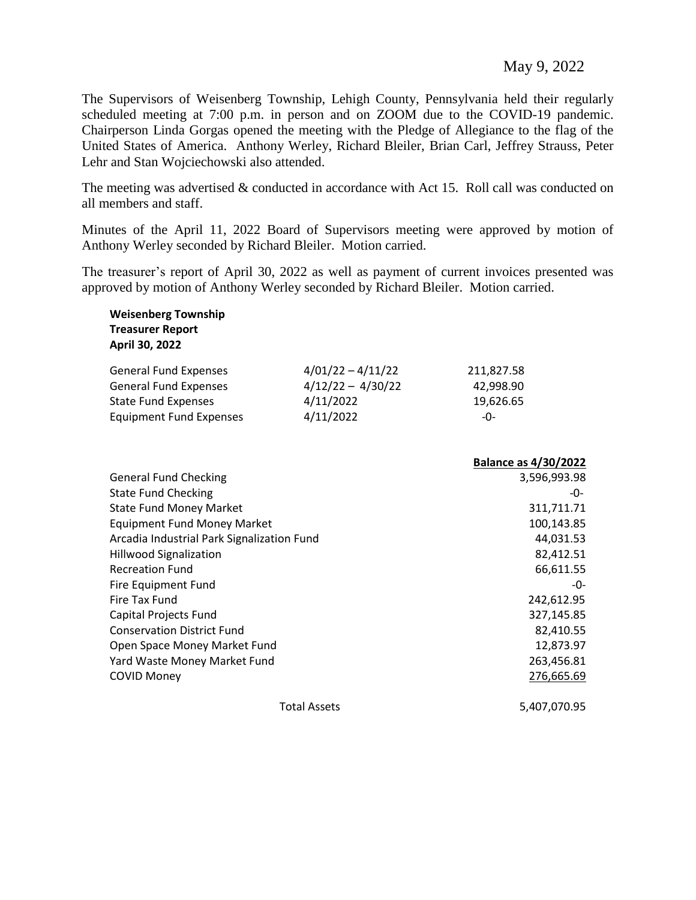May 9, 2022

The Supervisors of Weisenberg Township, Lehigh County, Pennsylvania held their regularly scheduled meeting at 7:00 p.m. in person and on ZOOM due to the COVID-19 pandemic. Chairperson Linda Gorgas opened the meeting with the Pledge of Allegiance to the flag of the United States of America. Anthony Werley, Richard Bleiler, Brian Carl, Jeffrey Strauss, Peter Lehr and Stan Wojciechowski also attended.

The meeting was advertised & conducted in accordance with Act 15. Roll call was conducted on all members and staff.

Minutes of the April 11, 2022 Board of Supervisors meeting were approved by motion of Anthony Werley seconded by Richard Bleiler. Motion carried.

The treasurer's report of April 30, 2022 as well as payment of current invoices presented was approved by motion of Anthony Werley seconded by Richard Bleiler. Motion carried.

| <b>Weisenberg Township</b><br><b>Treasurer Report</b><br>April 30, 2022 |                     |                             |
|-------------------------------------------------------------------------|---------------------|-----------------------------|
| <b>General Fund Expenses</b>                                            | $4/01/22 - 4/11/22$ | 211,827.58                  |
| <b>General Fund Expenses</b>                                            | $4/12/22 - 4/30/22$ | 42,998.90                   |
| <b>State Fund Expenses</b>                                              | 4/11/2022           | 19,626.65                   |
| <b>Equipment Fund Expenses</b>                                          | 4/11/2022           | $-0-$                       |
|                                                                         |                     | <b>Balance as 4/30/2022</b> |
| <b>General Fund Checking</b>                                            |                     | 3,596,993.98                |
| <b>State Fund Checking</b>                                              |                     | -0-                         |
| <b>State Fund Money Market</b>                                          | 311,711.71          |                             |
| <b>Equipment Fund Money Market</b>                                      | 100,143.85          |                             |
| Arcadia Industrial Park Signalization Fund                              |                     | 44,031.53                   |
| <b>Hillwood Signalization</b>                                           | 82,412.51           |                             |
| <b>Recreation Fund</b>                                                  | 66,611.55           |                             |
| Fire Equipment Fund                                                     |                     | -0-                         |
| Fire Tax Fund                                                           | 242,612.95          |                             |
| Capital Projects Fund                                                   | 327,145.85          |                             |
| <b>Conservation District Fund</b>                                       | 82,410.55           |                             |
| Open Space Money Market Fund                                            | 12,873.97           |                             |
| Yard Waste Money Market Fund                                            | 263,456.81          |                             |
| <b>COVID Money</b>                                                      |                     | 276,665.69                  |
|                                                                         | 5,407,070.95        |                             |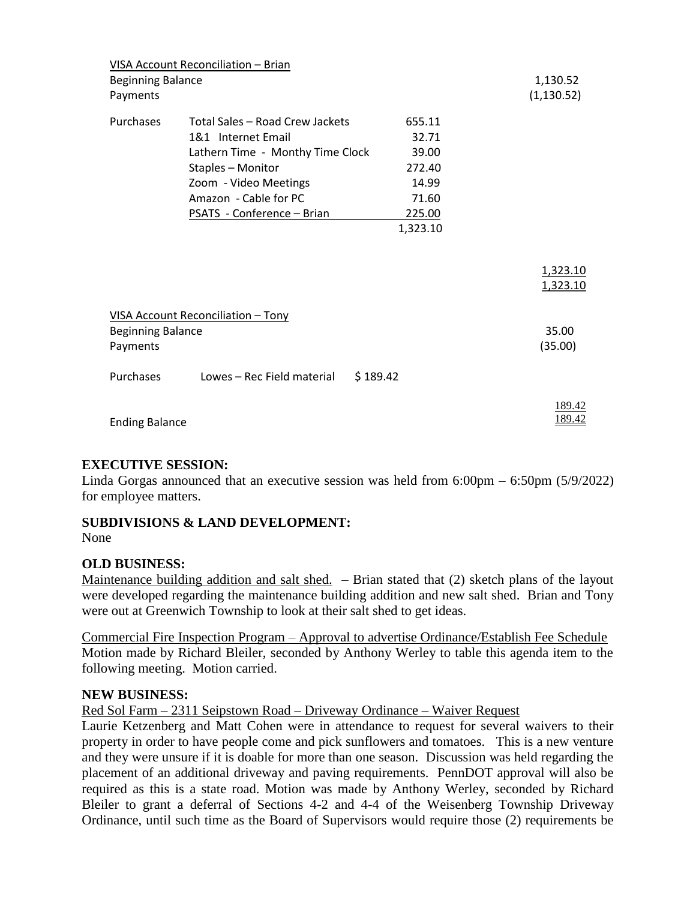|                                           | VISA Account Reconciliation - Brian    |          |             |
|-------------------------------------------|----------------------------------------|----------|-------------|
| <b>Beginning Balance</b>                  |                                        |          | 1,130.52    |
| Payments                                  |                                        |          | (1, 130.52) |
|                                           |                                        |          |             |
| Purchases                                 | Total Sales - Road Crew Jackets        | 655.11   |             |
|                                           | 1&1 Internet Email                     | 32.71    |             |
| Lathern Time - Monthy Time Clock<br>39.00 |                                        |          |             |
| Staples - Monitor<br>272.40               |                                        |          |             |
|                                           | Zoom - Video Meetings                  | 14.99    |             |
|                                           | Amazon - Cable for PC                  | 71.60    |             |
|                                           | PSATS - Conference - Brian             | 225.00   |             |
|                                           |                                        | 1,323.10 |             |
|                                           |                                        |          |             |
|                                           |                                        |          |             |
|                                           |                                        |          | 1,323.10    |
|                                           |                                        |          | 1,323.10    |
|                                           |                                        |          |             |
|                                           | VISA Account Reconciliation - Tony     |          |             |
| <b>Beginning Balance</b>                  |                                        |          | 35.00       |
| Payments                                  |                                        |          | (35.00)     |
|                                           |                                        |          |             |
| Purchases                                 | Lowes – Rec Field material<br>\$189.42 |          |             |
|                                           |                                        |          |             |
|                                           |                                        |          | 189.42      |
| <b>Ending Balance</b>                     |                                        |          | 189.42      |
|                                           |                                        |          |             |

# **EXECUTIVE SESSION:**

Linda Gorgas announced that an executive session was held from 6:00pm – 6:50pm (5/9/2022) for employee matters.

# **SUBDIVISIONS & LAND DEVELOPMENT:**

None

# **OLD BUSINESS:**

Maintenance building addition and salt shed.  $-$  Brian stated that (2) sketch plans of the layout were developed regarding the maintenance building addition and new salt shed. Brian and Tony were out at Greenwich Township to look at their salt shed to get ideas.

Commercial Fire Inspection Program – Approval to advertise Ordinance/Establish Fee Schedule Motion made by Richard Bleiler, seconded by Anthony Werley to table this agenda item to the following meeting. Motion carried.

# **NEW BUSINESS:**

Red Sol Farm – 2311 Seipstown Road – Driveway Ordinance – Waiver Request

Laurie Ketzenberg and Matt Cohen were in attendance to request for several waivers to their property in order to have people come and pick sunflowers and tomatoes. This is a new venture and they were unsure if it is doable for more than one season. Discussion was held regarding the placement of an additional driveway and paving requirements. PennDOT approval will also be required as this is a state road. Motion was made by Anthony Werley, seconded by Richard Bleiler to grant a deferral of Sections 4-2 and 4-4 of the Weisenberg Township Driveway Ordinance, until such time as the Board of Supervisors would require those (2) requirements be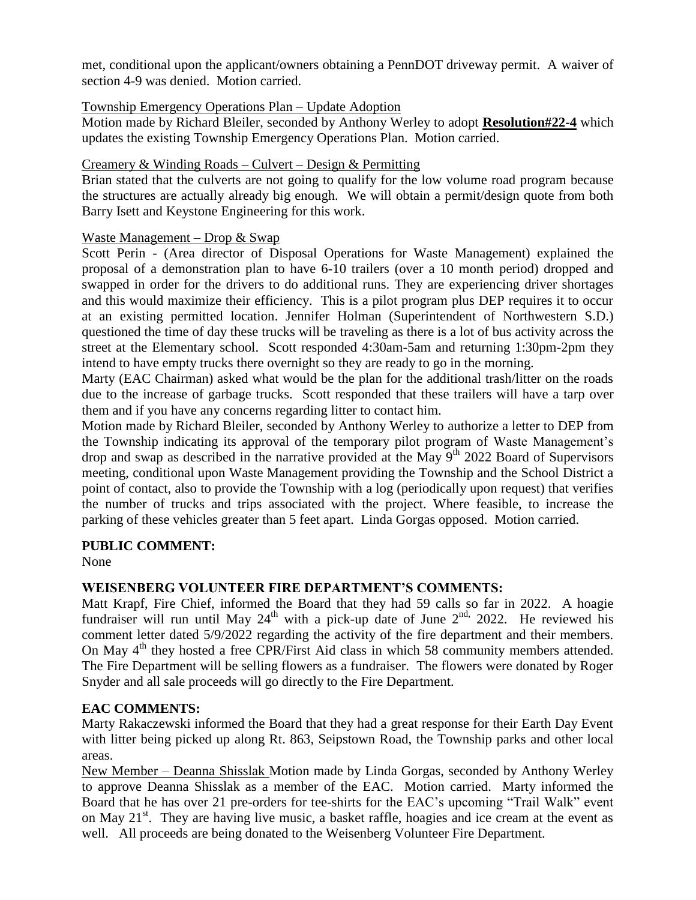met, conditional upon the applicant/owners obtaining a PennDOT driveway permit. A waiver of section 4-9 was denied. Motion carried.

#### Township Emergency Operations Plan – Update Adoption

Motion made by Richard Bleiler, seconded by Anthony Werley to adopt **Resolution#22-4** which updates the existing Township Emergency Operations Plan. Motion carried.

#### Creamery & Winding Roads – Culvert – Design & Permitting

Brian stated that the culverts are not going to qualify for the low volume road program because the structures are actually already big enough. We will obtain a permit/design quote from both Barry Isett and Keystone Engineering for this work.

#### Waste Management – Drop & Swap

Scott Perin - (Area director of Disposal Operations for Waste Management) explained the proposal of a demonstration plan to have 6-10 trailers (over a 10 month period) dropped and swapped in order for the drivers to do additional runs. They are experiencing driver shortages and this would maximize their efficiency. This is a pilot program plus DEP requires it to occur at an existing permitted location. Jennifer Holman (Superintendent of Northwestern S.D.) questioned the time of day these trucks will be traveling as there is a lot of bus activity across the street at the Elementary school. Scott responded 4:30am-5am and returning 1:30pm-2pm they intend to have empty trucks there overnight so they are ready to go in the morning.

Marty (EAC Chairman) asked what would be the plan for the additional trash/litter on the roads due to the increase of garbage trucks. Scott responded that these trailers will have a tarp over them and if you have any concerns regarding litter to contact him.

Motion made by Richard Bleiler, seconded by Anthony Werley to authorize a letter to DEP from the Township indicating its approval of the temporary pilot program of Waste Management's drop and swap as described in the narrative provided at the May  $9<sup>th</sup>$  2022 Board of Supervisors meeting, conditional upon Waste Management providing the Township and the School District a point of contact, also to provide the Township with a log (periodically upon request) that verifies the number of trucks and trips associated with the project. Where feasible, to increase the parking of these vehicles greater than 5 feet apart. Linda Gorgas opposed. Motion carried.

#### **PUBLIC COMMENT:**

None

# **WEISENBERG VOLUNTEER FIRE DEPARTMENT'S COMMENTS:**

Matt Krapf, Fire Chief, informed the Board that they had 59 calls so far in 2022. A hoagie fundraiser will run until May  $24<sup>th</sup>$  with a pick-up date of June  $2<sup>nd</sup>$ , 2022. He reviewed his comment letter dated 5/9/2022 regarding the activity of the fire department and their members. On May 4<sup>th</sup> they hosted a free CPR/First Aid class in which 58 community members attended. The Fire Department will be selling flowers as a fundraiser. The flowers were donated by Roger Snyder and all sale proceeds will go directly to the Fire Department.

# **EAC COMMENTS:**

Marty Rakaczewski informed the Board that they had a great response for their Earth Day Event with litter being picked up along Rt. 863, Seipstown Road, the Township parks and other local areas.

New Member – Deanna Shisslak Motion made by Linda Gorgas, seconded by Anthony Werley to approve Deanna Shisslak as a member of the EAC. Motion carried. Marty informed the Board that he has over 21 pre-orders for tee-shirts for the EAC's upcoming "Trail Walk" event on May  $21<sup>st</sup>$ . They are having live music, a basket raffle, hoagies and ice cream at the event as well. All proceeds are being donated to the Weisenberg Volunteer Fire Department.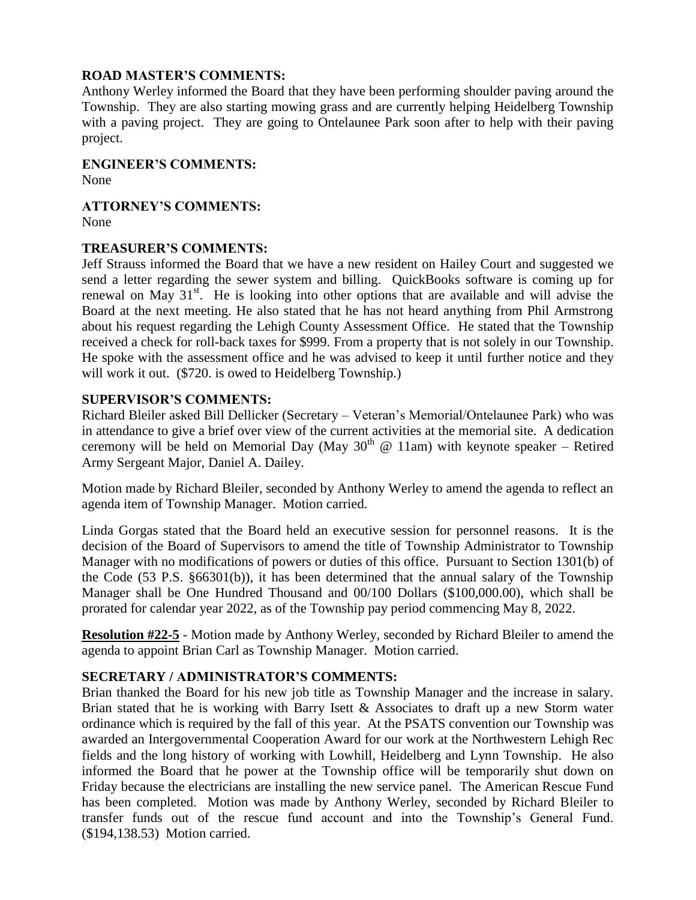#### **ROAD MASTER'S COMMENTS:**

Anthony Werley informed the Board that they have been performing shoulder paving around the Township. They are also starting mowing grass and are currently helping Heidelberg Township with a paving project. They are going to Ontelaunee Park soon after to help with their paving project.

#### **ENGINEER'S COMMENTS:**

None

# **ATTORNEY'S COMMENTS:**

None

#### **TREASURER'S COMMENTS:**

Jeff Strauss informed the Board that we have a new resident on Hailey Court and suggested we send a letter regarding the sewer system and billing. QuickBooks software is coming up for renewal on May  $31<sup>st</sup>$ . He is looking into other options that are available and will advise the Board at the next meeting. He also stated that he has not heard anything from Phil Armstrong about his request regarding the Lehigh County Assessment Office. He stated that the Township received a check for roll-back taxes for \$999. From a property that is not solely in our Township. He spoke with the assessment office and he was advised to keep it until further notice and they will work it out. (\$720. is owed to Heidelberg Township.)

#### **SUPERVISOR'S COMMENTS:**

Richard Bleiler asked Bill Dellicker (Secretary – Veteran's Memorial/Ontelaunee Park) who was in attendance to give a brief over view of the current activities at the memorial site. A dedication ceremony will be held on Memorial Day (May  $30<sup>th</sup>$  @ 11am) with keynote speaker – Retired Army Sergeant Major, Daniel A. Dailey.

Motion made by Richard Bleiler, seconded by Anthony Werley to amend the agenda to reflect an agenda item of Township Manager. Motion carried.

Linda Gorgas stated that the Board held an executive session for personnel reasons. It is the decision of the Board of Supervisors to amend the title of Township Administrator to Township Manager with no modifications of powers or duties of this office. Pursuant to Section 1301(b) of the Code (53 P.S. §66301(b)), it has been determined that the annual salary of the Township Manager shall be One Hundred Thousand and 00/100 Dollars (\$100,000.00), which shall be prorated for calendar year 2022, as of the Township pay period commencing May 8, 2022.

**Resolution #22-5** - Motion made by Anthony Werley, seconded by Richard Bleiler to amend the agenda to appoint Brian Carl as Township Manager. Motion carried.

# **SECRETARY / ADMINISTRATOR'S COMMENTS:**

Brian thanked the Board for his new job title as Township Manager and the increase in salary. Brian stated that he is working with Barry Isett & Associates to draft up a new Storm water ordinance which is required by the fall of this year. At the PSATS convention our Township was awarded an Intergovernmental Cooperation Award for our work at the Northwestern Lehigh Rec fields and the long history of working with Lowhill, Heidelberg and Lynn Township. He also informed the Board that he power at the Township office will be temporarily shut down on Friday because the electricians are installing the new service panel. The American Rescue Fund has been completed. Motion was made by Anthony Werley, seconded by Richard Bleiler to transfer funds out of the rescue fund account and into the Township's General Fund. (\$194,138.53) Motion carried.